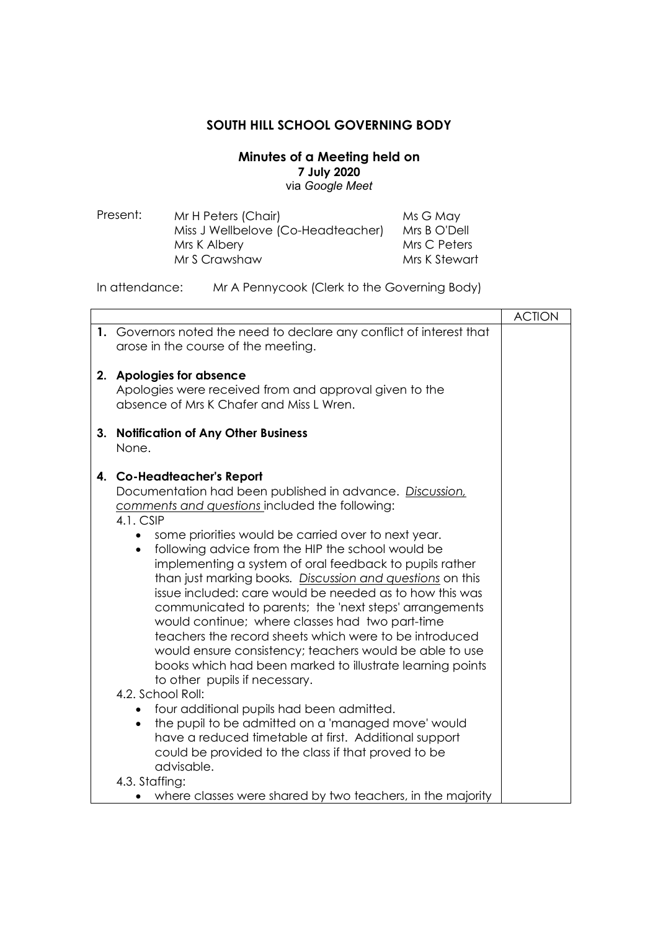## **SOUTH HILL SCHOOL GOVERNING BODY**

## **Minutes of a Meeting held on 7 July 2020**  via *Google Meet*

| Present: | Mr H Peters (Chair)                | Ms G May      |
|----------|------------------------------------|---------------|
|          | Miss J Wellbelove (Co-Headteacher) | Mrs B O'Dell  |
|          | Mrs K Albery                       | Mrs C Peters  |
|          | Mr S Crawshaw                      | Mrs K Stewart |

## In attendance: Mr A Pennycook (Clerk to the Governing Body)

|    |                                                                                                                                                                                                                                                                                                                                                                                                                                                                                                                                                                                                                                                                                                                                                                                                                                                                                                                                                                                                                                                                                        | <b>ACTION</b> |
|----|----------------------------------------------------------------------------------------------------------------------------------------------------------------------------------------------------------------------------------------------------------------------------------------------------------------------------------------------------------------------------------------------------------------------------------------------------------------------------------------------------------------------------------------------------------------------------------------------------------------------------------------------------------------------------------------------------------------------------------------------------------------------------------------------------------------------------------------------------------------------------------------------------------------------------------------------------------------------------------------------------------------------------------------------------------------------------------------|---------------|
|    | 1. Governors noted the need to declare any conflict of interest that<br>arose in the course of the meeting.                                                                                                                                                                                                                                                                                                                                                                                                                                                                                                                                                                                                                                                                                                                                                                                                                                                                                                                                                                            |               |
|    | 2. Apologies for absence<br>Apologies were received from and approval given to the<br>absence of Mrs K Chafer and Miss L Wren.                                                                                                                                                                                                                                                                                                                                                                                                                                                                                                                                                                                                                                                                                                                                                                                                                                                                                                                                                         |               |
| 3. | <b>Notification of Any Other Business</b><br>None.                                                                                                                                                                                                                                                                                                                                                                                                                                                                                                                                                                                                                                                                                                                                                                                                                                                                                                                                                                                                                                     |               |
|    | 4. Co-Headteacher's Report<br>Documentation had been published in advance. Discussion,<br>comments and questions included the following:<br>4.1. CSIP<br>some priorities would be carried over to next year.<br>$\bullet$<br>following advice from the HIP the school would be<br>$\bullet$<br>implementing a system of oral feedback to pupils rather<br>than just marking books. Discussion and questions on this<br>issue included: care would be needed as to how this was<br>communicated to parents; the 'next steps' arrangements<br>would continue; where classes had two part-time<br>teachers the record sheets which were to be introduced<br>would ensure consistency; teachers would be able to use<br>books which had been marked to illustrate learning points<br>to other pupils if necessary.<br>4.2. School Roll:<br>four additional pupils had been admitted.<br>٠<br>the pupil to be admitted on a 'managed move' would<br>$\bullet$<br>have a reduced timetable at first. Additional support<br>could be provided to the class if that proved to be<br>advisable. |               |
|    | 4.3. Staffing:<br>where classes were shared by two teachers, in the majority<br>$\bullet$                                                                                                                                                                                                                                                                                                                                                                                                                                                                                                                                                                                                                                                                                                                                                                                                                                                                                                                                                                                              |               |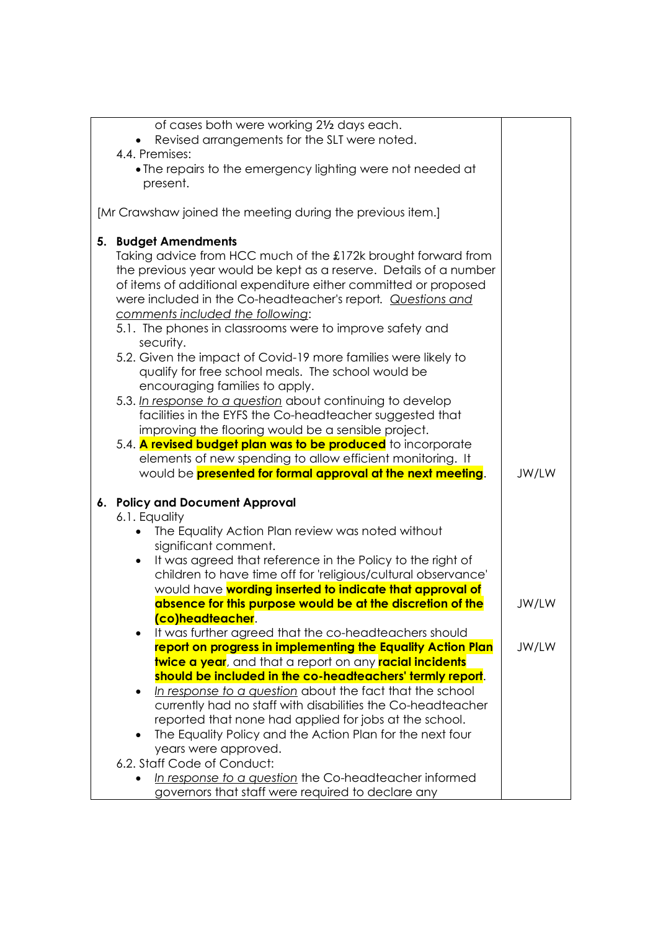| of cases both were working 21/2 days each.   |                                                                         |       |
|----------------------------------------------|-------------------------------------------------------------------------|-------|
| Revised arrangements for the SLT were noted. |                                                                         |       |
| 4.4. Premises:                               |                                                                         |       |
|                                              | • The repairs to the emergency lighting were not needed at              |       |
|                                              | present.                                                                |       |
|                                              |                                                                         |       |
|                                              | [Mr Crawshaw joined the meeting during the previous item.]              |       |
|                                              |                                                                         |       |
|                                              | 5. Budget Amendments                                                    |       |
|                                              | Taking advice from HCC much of the £172k brought forward from           |       |
|                                              | the previous year would be kept as a reserve. Details of a number       |       |
|                                              | of items of additional expenditure either committed or proposed         |       |
|                                              | were included in the Co-headteacher's report. Questions and             |       |
|                                              | comments included the following:                                        |       |
|                                              | 5.1. The phones in classrooms were to improve safety and                |       |
|                                              | security.                                                               |       |
|                                              | 5.2. Given the impact of Covid-19 more families were likely to          |       |
|                                              | qualify for free school meals. The school would be                      |       |
|                                              | encouraging families to apply.                                          |       |
|                                              | 5.3. In response to a question about continuing to develop              |       |
|                                              | facilities in the EYFS the Co-headteacher suggested that                |       |
|                                              | improving the flooring would be a sensible project.                     |       |
|                                              | 5.4. <b>A revised budget plan was to be produced</b> to incorporate     |       |
|                                              | elements of new spending to allow efficient monitoring. It              |       |
|                                              | would be presented for formal approval at the next meeting.             | JW/LW |
|                                              |                                                                         |       |
|                                              | 6. Policy and Document Approval                                         |       |
|                                              | 6.1. Equality                                                           |       |
|                                              | The Equality Action Plan review was noted without                       |       |
|                                              | significant comment.                                                    |       |
|                                              | It was agreed that reference in the Policy to the right of<br>$\bullet$ |       |
|                                              | children to have time off for 'religious/cultural observance'           |       |
|                                              | would have wording inserted to indicate that approval of                |       |
|                                              | absence for this purpose would be at the discretion of the              | JW/LW |
|                                              | (co)headteacher.                                                        |       |
|                                              | It was further agreed that the co-headteachers should                   |       |
|                                              | report on progress in implementing the Equality Action Plan             | JW/LW |
|                                              | twice a year, and that a report on any racial incidents                 |       |
|                                              | should be included in the co-headteachers' termly report.               |       |
|                                              | In response to a question about the fact that the school                |       |
|                                              | currently had no staff with disabilities the Co-headteacher             |       |
|                                              | reported that none had applied for jobs at the school.                  |       |
|                                              | The Equality Policy and the Action Plan for the next four<br>$\bullet$  |       |
|                                              | years were approved.                                                    |       |
|                                              | 6.2. Staff Code of Conduct:                                             |       |
|                                              | In response to a question the Co-headteacher informed                   |       |
|                                              | governors that staff were required to declare any                       |       |
|                                              |                                                                         |       |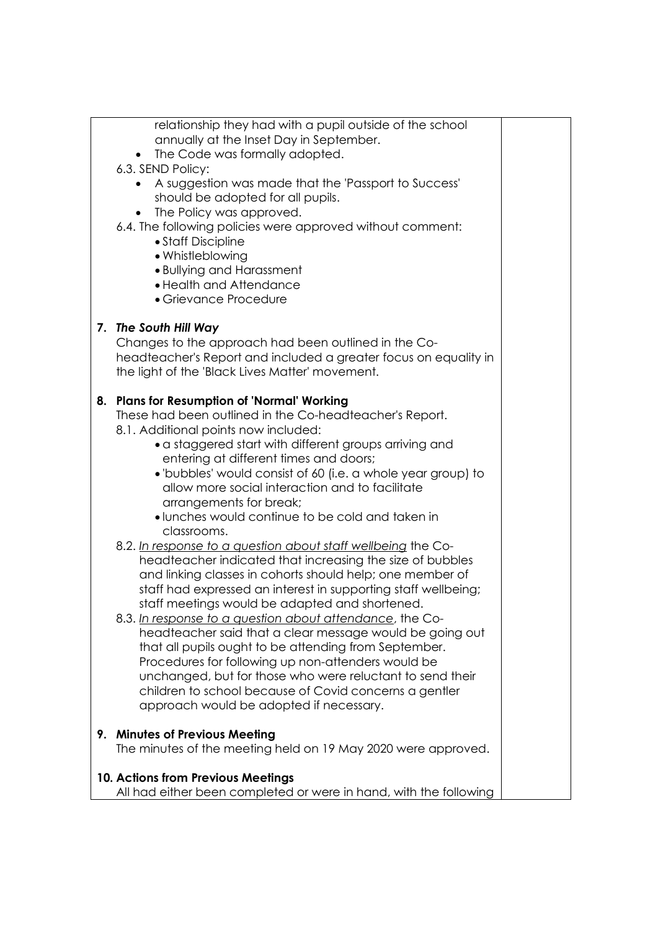|    | relationship they had with a pupil outside of the school          |  |  |  |  |
|----|-------------------------------------------------------------------|--|--|--|--|
|    | annually at the Inset Day in September.                           |  |  |  |  |
|    | The Code was formally adopted.<br>$\bullet$                       |  |  |  |  |
|    |                                                                   |  |  |  |  |
|    | 6.3. SEND Policy:                                                 |  |  |  |  |
|    | A suggestion was made that the 'Passport to Success'              |  |  |  |  |
|    | should be adopted for all pupils.                                 |  |  |  |  |
|    | The Policy was approved.<br>$\bullet$                             |  |  |  |  |
|    | 6.4. The following policies were approved without comment:        |  |  |  |  |
|    | • Staff Discipline                                                |  |  |  |  |
|    | • Whistleblowing                                                  |  |  |  |  |
|    | • Bullying and Harassment                                         |  |  |  |  |
|    | • Health and Attendance                                           |  |  |  |  |
|    | • Grievance Procedure                                             |  |  |  |  |
|    |                                                                   |  |  |  |  |
|    | 7. The South Hill Way                                             |  |  |  |  |
|    | Changes to the approach had been outlined in the Co-              |  |  |  |  |
|    | headteacher's Report and included a greater focus on equality in  |  |  |  |  |
|    | the light of the 'Black Lives Matter' movement.                   |  |  |  |  |
|    | 8. Plans for Resumption of 'Normal' Working                       |  |  |  |  |
|    | These had been outlined in the Co-headteacher's Report.           |  |  |  |  |
|    | 8.1. Additional points now included:                              |  |  |  |  |
|    |                                                                   |  |  |  |  |
|    | • a staggered start with different groups arriving and            |  |  |  |  |
|    | entering at different times and doors;                            |  |  |  |  |
|    | • 'bubbles' would consist of 60 (i.e. a whole year group) to      |  |  |  |  |
|    | allow more social interaction and to facilitate                   |  |  |  |  |
|    | arrangements for break;                                           |  |  |  |  |
|    | · lunches would continue to be cold and taken in                  |  |  |  |  |
|    | classrooms.                                                       |  |  |  |  |
|    | 8.2. In response to a question about staff wellbeing the Co-      |  |  |  |  |
|    | headteacher indicated that increasing the size of bubbles         |  |  |  |  |
|    | and linking classes in cohorts should help; one member of         |  |  |  |  |
|    | staff had expressed an interest in supporting staff wellbeing;    |  |  |  |  |
|    | staff meetings would be adapted and shortened                     |  |  |  |  |
|    | 8.3. In response to a question about attendance, the Co-          |  |  |  |  |
|    | headteacher said that a clear message would be going out          |  |  |  |  |
|    | that all pupils ought to be attending from September.             |  |  |  |  |
|    | Procedures for following up non-attenders would be                |  |  |  |  |
|    | unchanged, but for those who were reluctant to send their         |  |  |  |  |
|    | children to school because of Covid concerns a gentler            |  |  |  |  |
|    | approach would be adopted if necessary.                           |  |  |  |  |
|    |                                                                   |  |  |  |  |
| 9. | <b>Minutes of Previous Meeting</b>                                |  |  |  |  |
|    | The minutes of the meeting held on 19 May 2020 were approved.     |  |  |  |  |
|    | 10. Actions from Previous Meetings                                |  |  |  |  |
|    | All had either been completed or were in hand, with the following |  |  |  |  |
|    |                                                                   |  |  |  |  |